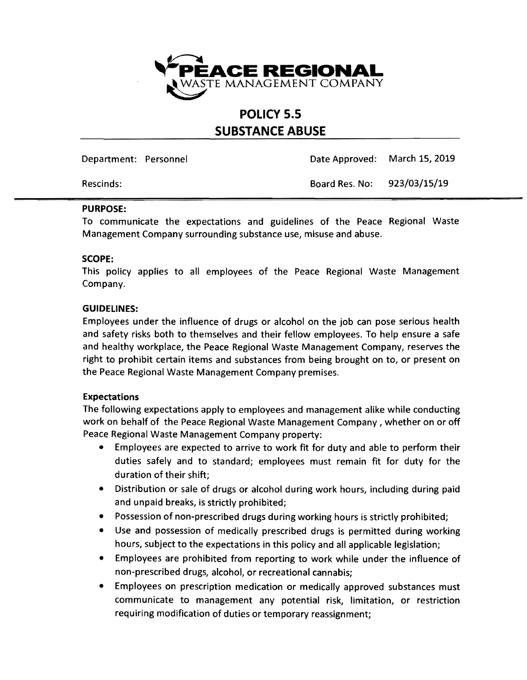

# **POLICY** 5.5 **SUBSTANCE ABUSE**

Department: Personnel Date Approved: March 15,2019

Rescinds: Board Res. No: 923/03/15/19

### PURPOSE:

To communicate the expectations and guidelines of the Peace Regional Waste Management Company surrounding substance use, misuse and abuse.

### SCOPE:

This policy applies to all employees of the Peace Regional Waste Management Company.

## GUIDELINES:

Employees under the influence of drugs or alcohol on the job can pose serious health and safety risks both to themselves and their fellow employees. To help ensure a safe and healthy workplace, the Peace Regional Waste Management Company, reserves the right to prohibit certain items and substances from being brought on to, or present on the Peace Regional Waste Management Company premises.

## Expectations

The following expectations apply to employees and management alike while conducting work on behalf of the Peace Regional Waste Management Company, whether on or off Peace Regional Waste Management Company property:

- Employees are expected to arrive to work fit for duty and able to perform their duties safely and to standard; employees must remain fit for duty for the duration of their shift;
- Distribution or sale of drugs or alcohol during work hours, including during paid and unpaid breaks, is strictly prohibited;
- Possession of non-prescribed drugs during working hours is strictly prohibited;
- Use and possession of medically prescribed drugs is permitted during working hours, subject to the expectations in this policy and all applicable legislation;
- Employees are prohibited from reporting to work while under the influence of non-prescribed drugs, alcohol, or recreational cannabis;
- Employees on prescription medication or medically approved substances must communicate to management any potential risk, limitation, or restriction requiring modification of duties or temporary reassignment;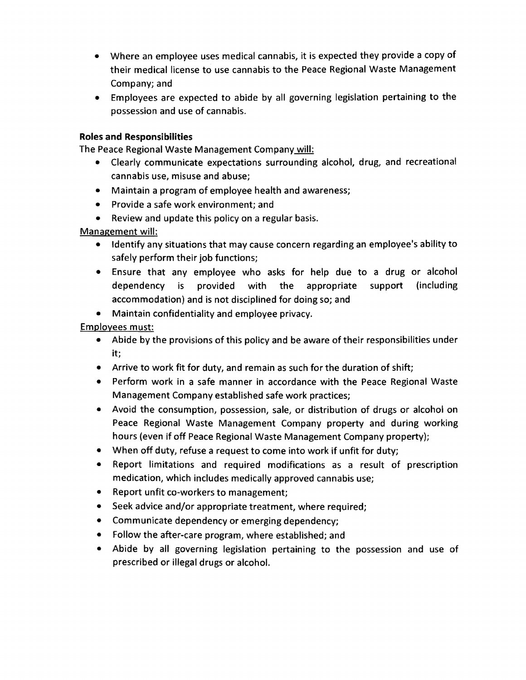- Where an employee uses medical cannabis, it is expected they provide a copy of their medical license to use cannabis to the Peace Regional Waste Management Company; and
- Employees are expected to abide by all governing legislation pertaining to the possession and use of cannabis.

## **Roles and Responsibilities**

The Peace Regional Waste Management Company will:

- Clearly communicate expectations surrounding alcohol, drug, and recreational cannabis use, misuse and abuse;
- Maintain a program of employee health and awareness;
- Provide a safe work environment; and
- Review and update this policy on a regular basis.

Management will:

- Identify any situations that may cause concern regarding an employee's ability to safely perform their job functions;
- Ensure that any employee who asks for help due to a drug or alcohol dependency is provided with the appropriate support (including accommodation) and is not disciplined for doing so; and
- Maintain confidentiality and employee privacy.

Employees must:

- Abide by the provisions of this policy and be aware of their responsibilities under it;
- Arrive to work fit for duty, and remain as such for the duration of shift;
- Perform work in a safe manner in accordance with the Peace Regional Waste Management Company established safe work practices;
- Avoid the consumption, possession, sale, or distribution of drugs or alcohol on Peace Regional Waste Management Company property and during working hours (even if off Peace Regional Waste Management Company property);
- When off duty, refuse a request to come into work if unfit for duty;
- Report limitations and required modifications as a result of prescription medication, which includes medically approved cannabis use;
- Report unfit co-workers to management;
- Seek advice and/or appropriate treatment, where required;
- Communicate dependency or emerging dependency;
- Follow the after-care program, where established; and
- Abide by all governing legislation pertaining to the possession and use of prescribed or illegal drugs or alcohol.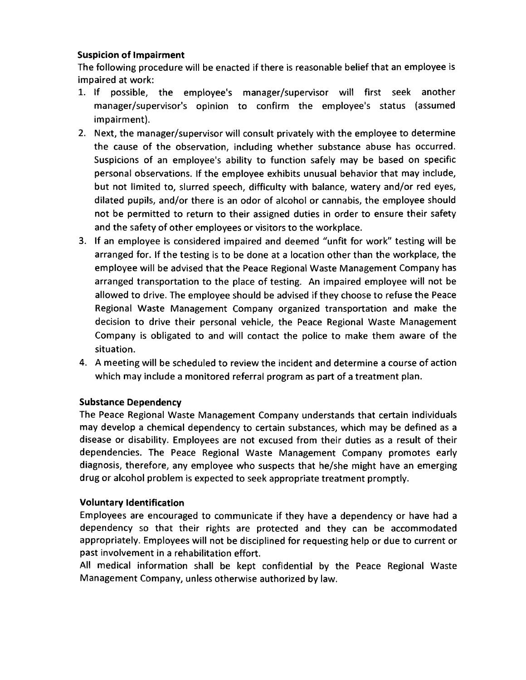# Suspicion of Impairment

The following procedure will be enacted if there is reasonable belief that an employee is impaired at work:

- 1. If possible, the employee's manager/supervisor will first seek another manager/supervisor's opinion to confirm the employee's status (assumed impairment).
- 2. Next, the manager/supervisor will consult privately with the employee to determine the cause of the observation, including whether substance abuse has occurred. Suspicions of an employee's ability to function safely may be based on specific personal observations. If the employee exhibits unusual behavior that may include, but not limited to, slurred speech, difficulty with balance, watery and/or red eyes, dilated pupils, and/or there is an odor of alcohol or cannabis, the employee should not be permitted to return to their assigned duties in order to ensure their safety and the safety of other employees or visitors to the workplace.
- 3. If an employee is considered impaired and deemed "unfit for work" testing will be arranged for. If the testing is to be done at a location other than the workplace, the employee will be advised that the Peace Regional Waste Management Company has arranged transportation to the place of testing. An impaired employee will not be allowed to drive. The employee should be advised if they choose to refuse the Peace Regional Waste Management Company organized transportation and make the decision to drive their personal vehicle, the Peace Regional Waste Management Company is obligated to and will contact the police to make them aware of the situation.
- 4. A meeting will be scheduled to review the incident and determine a course of action which may include a monitored referral program as part of a treatment plan.

# Substance Dependency

The Peace Regional Waste Management Company understands that certain individuals may develop a chemical dependency to certain substances, which may be defined as a disease or disability. Employees are not excused from their duties as a result of their dependencies. The Peace Regional Waste Management Company promotes early diagnosis, therefore, any employee who suspects that he/she might have an emerging drug or alcohol problem is expected to seek appropriate treatment promptly.

# Voluntary Identification

Employees are encouraged to communicate if they have a dependency or have had a dependency so that their rights are protected and they can be accommodated appropriately. Employees will not be disciplined for requesting help or due to current or past involvement in a rehabilitation effort.

All medical information shall be kept confidential by the Peace Regional Waste Management Company, unless otherwise authorized by law.